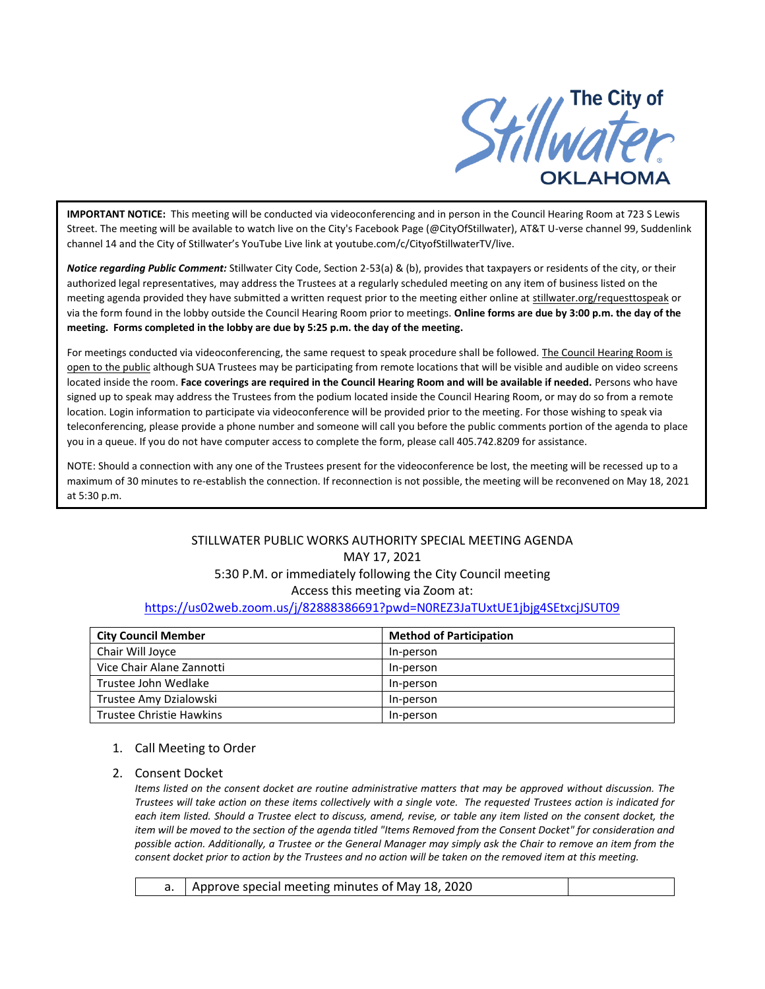

**IMPORTANT NOTICE:** This meeting will be conducted via videoconferencing and in person in the Council Hearing Room at 723 S Lewis Street. The meeting will be available to watch live on the City's Facebook Page (@CityOfStillwater), AT&T U-verse channel 99, Suddenlink channel 14 and the City of Stillwater's YouTube Live link at youtube.com/c/CityofStillwaterTV/live.

*Notice regarding Public Comment:* Stillwater City Code, Section 2-53(a) & (b), provides that taxpayers or residents of the city, or their authorized legal representatives, may address the Trustees at a regularly scheduled meeting on any item of business listed on the meeting agenda provided they have submitted a written request prior to the meeting either online at stillwater.org/requesttospeak or via the form found in the lobby outside the Council Hearing Room prior to meetings. **Online forms are due by 3:00 p.m. the day of the meeting. Forms completed in the lobby are due by 5:25 p.m. the day of the meeting.**

For meetings conducted via videoconferencing, the same request to speak procedure shall be followed. The Council Hearing Room is open to the public although SUA Trustees may be participating from remote locations that will be visible and audible on video screens located inside the room. **Face coverings are required in the Council Hearing Room and will be available if needed.** Persons who have signed up to speak may address the Trustees from the podium located inside the Council Hearing Room, or may do so from a remote location. Login information to participate via videoconference will be provided prior to the meeting. For those wishing to speak via teleconferencing, please provide a phone number and someone will call you before the public comments portion of the agenda to place you in a queue. If you do not have computer access to complete the form, please call 405.742.8209 for assistance.

NOTE: Should a connection with any one of the Trustees present for the videoconference be lost, the meeting will be recessed up to a maximum of 30 minutes to re-establish the connection. If reconnection is not possible, the meeting will be reconvened on May 18, 2021 at 5:30 p.m.

# STILLWATER PUBLIC WORKS AUTHORITY SPECIAL MEETING AGENDA MAY 17, 2021 5:30 P.M. or immediately following the City Council meeting Access this meeting via Zoom at: <https://us02web.zoom.us/j/82888386691?pwd=N0REZ3JaTUxtUE1jbjg4SEtxcjJSUT09>

| <b>City Council Member</b>      | <b>Method of Participation</b> |
|---------------------------------|--------------------------------|
| Chair Will Joyce                | In-person                      |
| Vice Chair Alane Zannotti       | In-person                      |
| Trustee John Wedlake            | In-person                      |
| Trustee Amy Dzialowski          | In-person                      |
| <b>Trustee Christie Hawkins</b> | In-person                      |

## 1. Call Meeting to Order

## 2. Consent Docket

*Items listed on the consent docket are routine administrative matters that may be approved without discussion. The Trustees will take action on these items collectively with a single vote. The requested Trustees action is indicated for each item listed. Should a Trustee elect to discuss, amend, revise, or table any item listed on the consent docket, the item will be moved to the section of the agenda titled "Items Removed from the Consent Docket" for consideration and possible action. Additionally, a Trustee or the General Manager may simply ask the Chair to remove an item from the consent docket prior to action by the Trustees and no action will be taken on the removed item at this meeting.*

|  | a.   Approve special meeting minutes of May 18, 2020 |  |
|--|------------------------------------------------------|--|
|--|------------------------------------------------------|--|